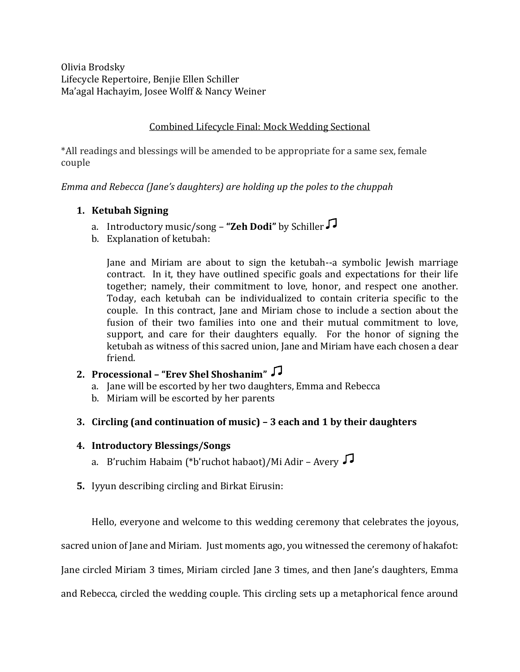Olivia Brodsky Lifecycle Repertoire, Benjie Ellen Schiller Ma'agal Hachayim, Josee Wolff & Nancy Weiner

#### Combined Lifecycle Final: Mock Wedding Sectional

\*All readings and blessings will be amended to be appropriate for a same sex, female couple

*Emma and Rebecca (Jane's daughters) are holding up the poles to the chuppah*

## **1. Ketubah Signing**

- a. Introductory music/song **"Zeh Dodi"** by Schiller
- b. Explanation of ketubah:

Jane and Miriam are about to sign the ketubah--a symbolic Jewish marriage contract. In it, they have outlined specific goals and expectations for their life together; namely, their commitment to love, honor, and respect one another. Today, each ketubah can be individualized to contain criteria specific to the couple. In this contract, Jane and Miriam chose to include a section about the fusion of their two families into one and their mutual commitment to love, support, and care for their daughters equally. For the honor of signing the ketubah as witness of this sacred union, Jane and Miriam have each chosen a dear friend.

# **2. Processional – "Erev Shel Shoshanim"**

- a. Jane will be escorted by her two daughters, Emma and Rebecca
- b. Miriam will be escorted by her parents

## **3. Circling (and continuation of music) – 3 each and 1 by their daughters**

- **4. Introductory Blessings/Songs**
	- a. B'ruchim Habaim (\*b'ruchot habaot)/Mi Adir Avery
- **5.** Iyyun describing circling and Birkat Eirusin:

Hello, everyone and welcome to this wedding ceremony that celebrates the joyous,

sacred union of Jane and Miriam. Just moments ago, you witnessed the ceremony of hakafot:

Jane circled Miriam 3 times, Miriam circled Jane 3 times, and then Jane's daughters, Emma

and Rebecca, circled the wedding couple. This circling sets up a metaphorical fence around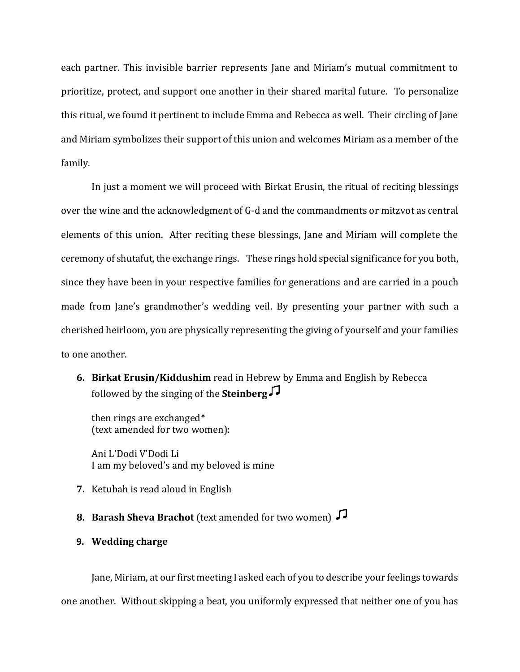each partner. This invisible barrier represents Jane and Miriam's mutual commitment to prioritize, protect, and support one another in their shared marital future. To personalize this ritual, we found it pertinent to include Emma and Rebecca as well. Their circling of Jane and Miriam symbolizes their support of this union and welcomes Miriam as a member of the family.

In just a moment we will proceed with Birkat Erusin, the ritual of reciting blessings over the wine and the acknowledgment of G-d and the commandments or mitzvot as central elements of this union. After reciting these blessings, Jane and Miriam will complete the ceremony of shutafut, the exchange rings. These rings hold special significance for you both, since they have been in your respective families for generations and are carried in a pouch made from Jane's grandmother's wedding veil. By presenting your partner with such a cherished heirloom, you are physically representing the giving of yourself and your families to one another.

**6. Birkat Erusin/Kiddushim** read in Hebrew by Emma and English by Rebecca followed by the singing of the **Steinberg**

then rings are exchanged\* (text amended for two women):

Ani L'Dodi V'Dodi Li I am my beloved's and my beloved is mine

- **7.** Ketubah is read aloud in English
- **8. Barash Sheva Brachot** (text amended for two women)
- **9. Wedding charge**

Jane, Miriam, at our first meeting I asked each of you to describe your feelings towards one another. Without skipping a beat, you uniformly expressed that neither one of you has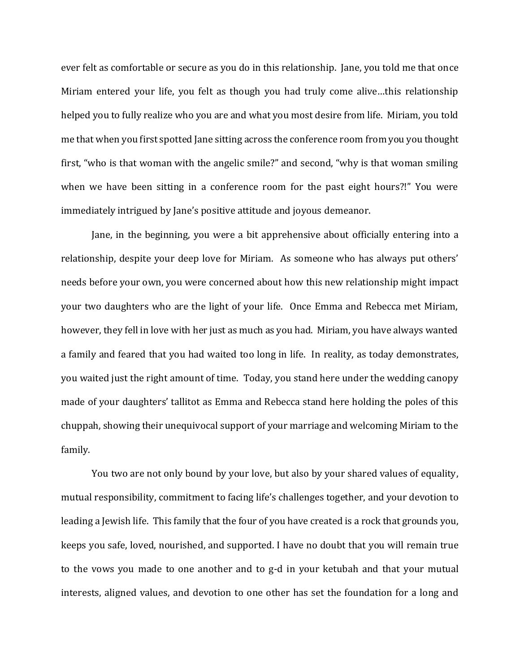ever felt as comfortable or secure as you do in this relationship. Jane, you told me that once Miriam entered your life, you felt as though you had truly come alive…this relationship helped you to fully realize who you are and what you most desire from life. Miriam, you told me that when you first spotted Jane sitting across the conference room from you you thought first, "who is that woman with the angelic smile?" and second, "why is that woman smiling when we have been sitting in a conference room for the past eight hours?!" You were immediately intrigued by Jane's positive attitude and joyous demeanor.

Jane, in the beginning, you were a bit apprehensive about officially entering into a relationship, despite your deep love for Miriam. As someone who has always put others' needs before your own, you were concerned about how this new relationship might impact your two daughters who are the light of your life. Once Emma and Rebecca met Miriam, however, they fell in love with her just as much as you had. Miriam, you have always wanted a family and feared that you had waited too long in life. In reality, as today demonstrates, you waited just the right amount of time. Today, you stand here under the wedding canopy made of your daughters' tallitot as Emma and Rebecca stand here holding the poles of this chuppah, showing their unequivocal support of your marriage and welcoming Miriam to the family.

You two are not only bound by your love, but also by your shared values of equality, mutual responsibility, commitment to facing life's challenges together, and your devotion to leading a Jewish life. This family that the four of you have created is a rock that grounds you, keeps you safe, loved, nourished, and supported. I have no doubt that you will remain true to the vows you made to one another and to g-d in your ketubah and that your mutual interests, aligned values, and devotion to one other has set the foundation for a long and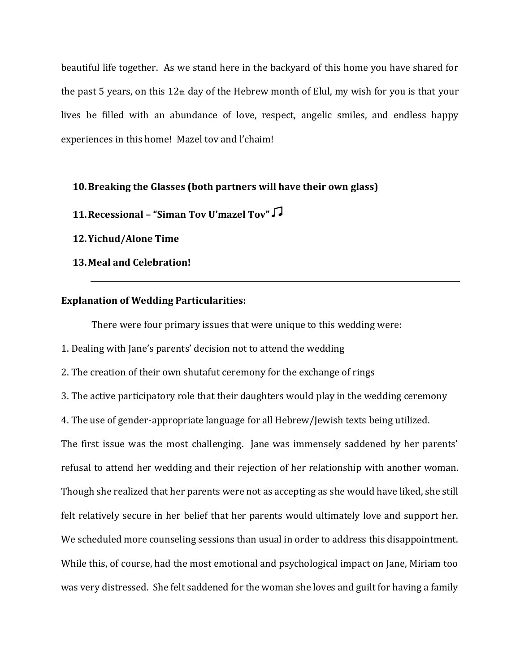beautiful life together. As we stand here in the backyard of this home you have shared for the past 5 years, on this 12th day of the Hebrew month of Elul, my wish for you is that your lives be filled with an abundance of love, respect, angelic smiles, and endless happy experiences in this home! Mazel tov and l'chaim!

#### **10.Breaking the Glasses (both partners will have their own glass)**

**11.Recessional – "Siman Tov U'mazel Tov"**

**12.Yichud/Alone Time**

**13.Meal and Celebration!**

#### **Explanation of Wedding Particularities:**

There were four primary issues that were unique to this wedding were:

1. Dealing with Jane's parents' decision not to attend the wedding

2. The creation of their own shutafut ceremony for the exchange of rings

3. The active participatory role that their daughters would play in the wedding ceremony

4. The use of gender-appropriate language for all Hebrew/Jewish texts being utilized.

The first issue was the most challenging. Jane was immensely saddened by her parents' refusal to attend her wedding and their rejection of her relationship with another woman. Though she realized that her parents were not as accepting as she would have liked, she still felt relatively secure in her belief that her parents would ultimately love and support her. We scheduled more counseling sessions than usual in order to address this disappointment. While this, of course, had the most emotional and psychological impact on Jane, Miriam too was very distressed. She felt saddened for the woman she loves and guilt for having a family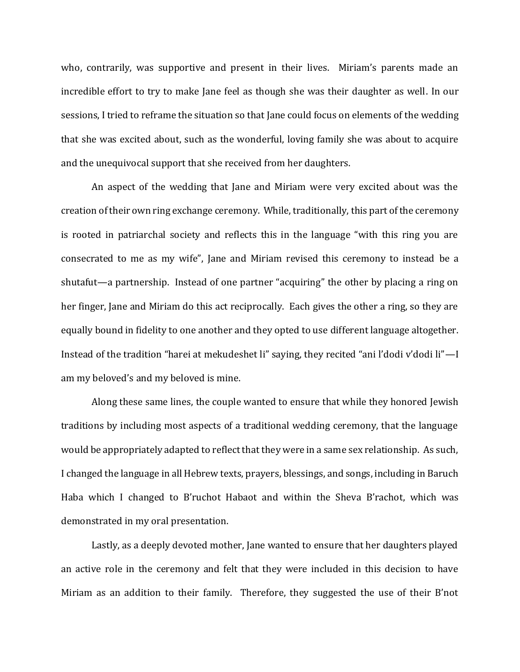who, contrarily, was supportive and present in their lives. Miriam's parents made an incredible effort to try to make Jane feel as though she was their daughter as well. In our sessions, I tried to reframe the situation so that Jane could focus on elements of the wedding that she was excited about, such as the wonderful, loving family she was about to acquire and the unequivocal support that she received from her daughters.

An aspect of the wedding that Jane and Miriam were very excited about was the creation of their own ring exchange ceremony. While, traditionally, this part of the ceremony is rooted in patriarchal society and reflects this in the language "with this ring you are consecrated to me as my wife", Jane and Miriam revised this ceremony to instead be a shutafut—a partnership. Instead of one partner "acquiring" the other by placing a ring on her finger, Jane and Miriam do this act reciprocally. Each gives the other a ring, so they are equally bound in fidelity to one another and they opted to use different language altogether. Instead of the tradition "harei at mekudeshet li" saying, they recited "ani l'dodi v'dodi li"—I am my beloved's and my beloved is mine.

Along these same lines, the couple wanted to ensure that while they honored Jewish traditions by including most aspects of a traditional wedding ceremony, that the language would be appropriately adapted to reflect that they were in a same sex relationship. As such, I changed the language in all Hebrew texts, prayers, blessings, and songs, including in Baruch Haba which I changed to B'ruchot Habaot and within the Sheva B'rachot, which was demonstrated in my oral presentation.

Lastly, as a deeply devoted mother, Jane wanted to ensure that her daughters played an active role in the ceremony and felt that they were included in this decision to have Miriam as an addition to their family. Therefore, they suggested the use of their B'not